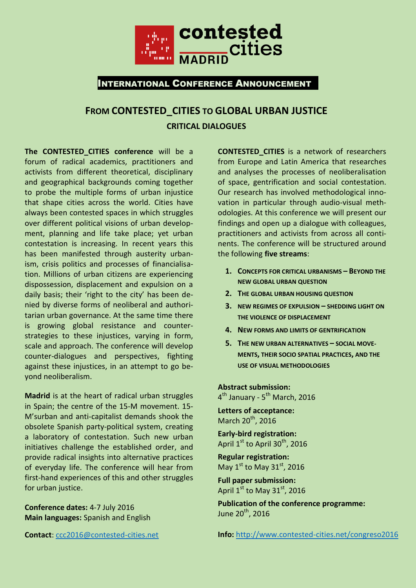

# **FROM CONTESTED\_CITIES TO GLOBAL URBAN JUSTICE CRITICAL DIALOGUES**

The **CONTESTED CITIES** conference will be a forum of radical academics, practitioners and activists from different theoretical, disciplinary and geographical backgrounds coming together to probe the multiple forms of urban injustice that shape cities across the world. Cities have always been contested spaces in which struggles over different political visions of urban development, planning and life take place; yet urban contestation is increasing. In recent years this has been manifested through austerity urbanism, crisis politics and processes of financialisation. Millions of urban citizens are experiencing dispossession, displacement and expulsion on a daily basis; their 'right to the city' has been denied by diverse forms of neoliberal and authoritarian urban governance. At the same time there is growing global resistance and counterstrategies to these injustices, varying in form, scale and approach. The conference will develop counter-dialogues and perspectives, fighting against these injustices, in an attempt to go beyond neoliberalism.

**Madrid** is at the heart of radical urban struggles in Spain; the centre of the 15-M movement. 15- M'surban and anti-capitalist demands shook the obsolete Spanish party-political system, creating a laboratory of contestation. Such new urban initiatives challenge the established order, and provide radical insights into alternative practices of everyday life. The conference will hear from first-hand experiences of this and other struggles for urban justice.

**Conference dates:** 4-7 July 2016 **Main languages:** Spanish and English

**Contact**: [ccc2016@contested-cities.net](mailto:ccc2016@contested-cities.net)

**CONTESTED\_CITIES** is a network of researchers from Europe and Latin America that researches and analyses the processes of neoliberalisation of space, gentrification and social contestation. Our research has involved methodological innovation in particular through audio-visual methodologies. At this conference we will present our findings and open up a dialogue with colleagues, practitioners and activists from across all continents. The conference will be structured around the following **five streams**:

- **1. CONCEPTS FOR CRITICAL URBANISMS – BEYOND THE NEW GLOBAL URBAN QUESTION**
- **2. THE GLOBAL URBAN HOUSING QUESTION**
- **3. NEW REGIMES OF EXPULSION – SHEDDING LIGHT ON THE VIOLENCE OF DISPLACEMENT**
- **4. NEW FORMS AND LIMITS OF GENTRIFICATION**
- **5. THE NEW URBAN ALTERNATIVES – SOCIAL MOVE-MENTS, THEIR SOCIO SPATIAL PRACTICES, AND THE USE OF VISUAL METHODOLOGIES**

**Abstract submission:**  4<sup>th</sup> January - 5<sup>th</sup> March, 2016

**Letters of acceptance:** March  $20^{th}$ , 2016

**Early-bird registration:** April  $1^{\rm st}$  to April 30 $^{\rm th}$ , 2016

**Regular registration:** May  $1^{\text{st}}$  to May  $31^{\text{st}}$ , 2016

**Full paper submission:** April  $1^{\text{st}}$  to May 31st, 2016

**Publication of the conference programme:** June 20<sup>th</sup>, 2016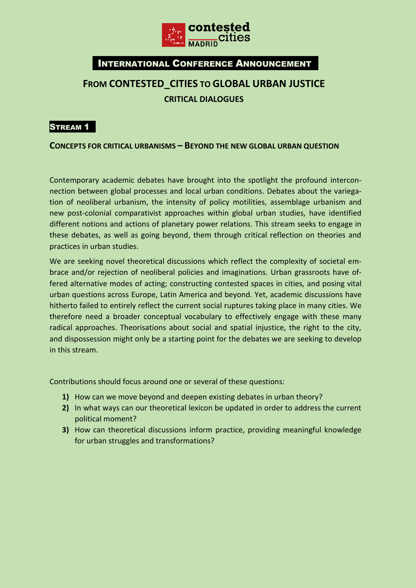

# **FROM CONTESTED\_CITIES TO GLOBAL URBAN JUSTICE CRITICAL DIALOGUES**

### STREAM 1

**CONCEPTS FOR CRITICAL URBANISMS – BEYOND THE NEW GLOBAL URBAN QUESTION**

Contemporary academic debates have brought into the spotlight the profound interconnection between global processes and local urban conditions. Debates about the variegation of neoliberal urbanism, the intensity of policy motilities, assemblage urbanism and new post-colonial comparativist approaches within global urban studies, have identified different notions and actions of planetary power relations. This stream seeks to engage in these debates, as well as going beyond, them through critical reflection on theories and practices in urban studies.

We are seeking novel theoretical discussions which reflect the complexity of societal embrace and/or rejection of neoliberal policies and imaginations. Urban grassroots have offered alternative modes of acting; constructing contested spaces in cities, and posing vital urban questions across Europe, Latin America and beyond. Yet, academic discussions have hitherto failed to entirely reflect the current social ruptures taking place in many cities. We therefore need a broader conceptual vocabulary to effectively engage with these many radical approaches. Theorisations about social and spatial injustice, the right to the city, and dispossession might only be a starting point for the debates we are seeking to develop in this stream.

Contributions should focus around one or several of these questions:

- **1)** How can we move beyond and deepen existing debates in urban theory?
- **2)** In what ways can our theoretical lexicon be updated in order to address the current political moment?
- **3)** How can theoretical discussions inform practice, providing meaningful knowledge for urban struggles and transformations?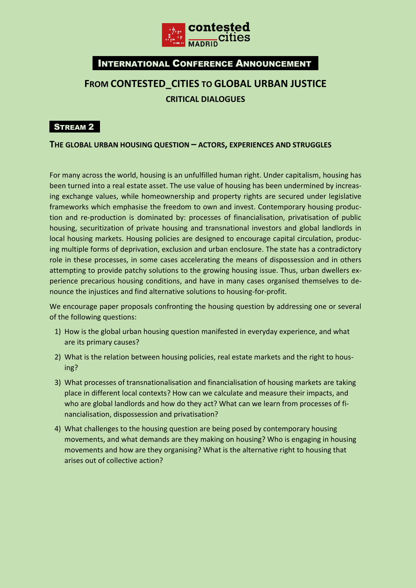

# **FROM CONTESTED\_CITIES TO GLOBAL URBAN JUSTICE CRITICAL DIALOGUES**

## **STREAM 2**

**THE GLOBAL URBAN HOUSING QUESTION – ACTORS, EXPERIENCES AND STRUGGLES**

For many across the world, housing is an unfulfilled human right. Under capitalism, housing has been turned into a real estate asset. The use value of housing has been undermined by increasing exchange values, while homeownership and property rights are secured under legislative frameworks which emphasise the freedom to own and invest. Contemporary housing production and re-production is dominated by: processes of financialisation, privatisation of public housing, securitization of private housing and transnational investors and global landlords in local housing markets. Housing policies are designed to encourage capital circulation, producing multiple forms of deprivation, exclusion and urban enclosure. The state has a contradictory role in these processes, in some cases accelerating the means of dispossession and in others attempting to provide patchy solutions to the growing housing issue. Thus, urban dwellers experience precarious housing conditions, and have in many cases organised themselves to denounce the injustices and find alternative solutions to housing-for-profit.

We encourage paper proposals confronting the housing question by addressing one or several of the following questions:

- 1) How is the global urban housing question manifested in everyday experience, and what are its primary causes?
- 2) What is the relation between housing policies, real estate markets and the right to housing?
- 3) What processes of transnationalisation and financialisation of housing markets are taking place in different local contexts? How can we calculate and measure their impacts, and who are global landlords and how do they act? What can we learn from processes of financialisation, dispossession and privatisation?
- 4) What challenges to the housing question are being posed by contemporary housing movements, and what demands are they making on housing? Who is engaging in housing movements and how are they organising? What is the alternative right to housing that arises out of collective action?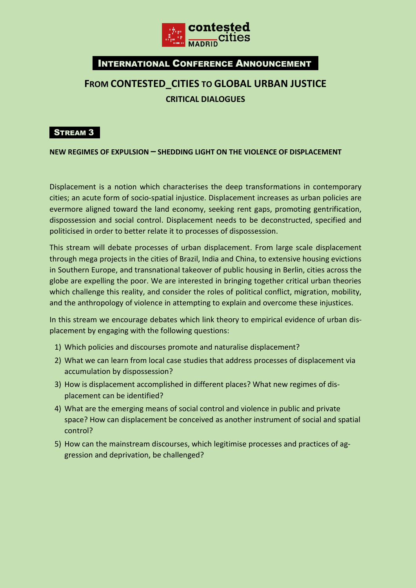

# **FROM CONTESTED\_CITIES TO GLOBAL URBAN JUSTICE CRITICAL DIALOGUES**

### **STREAM 3**

**NEW REGIMES OF EXPULSION – SHEDDING LIGHT ON THE VIOLENCE OF DISPLACEMENT**

Displacement is a notion which characterises the deep transformations in contemporary cities; an acute form of socio-spatial injustice. Displacement increases as urban policies are evermore aligned toward the land economy, seeking rent gaps, promoting gentrification, dispossession and social control. Displacement needs to be deconstructed, specified and politicised in order to better relate it to processes of dispossession.

This stream will debate processes of urban displacement. From large scale displacement through mega projects in the cities of Brazil, India and China, to extensive housing evictions in Southern Europe, and transnational takeover of public housing in Berlin, cities across the globe are expelling the poor. We are interested in bringing together critical urban theories which challenge this reality, and consider the roles of political conflict, migration, mobility, and the anthropology of violence in attempting to explain and overcome these injustices.

In this stream we encourage debates which link theory to empirical evidence of urban displacement by engaging with the following questions:

- 1) Which policies and discourses promote and naturalise displacement?
- 2) What we can learn from local case studies that address processes of displacement via accumulation by dispossession?
- 3) How is displacement accomplished in different places? What new regimes of displacement can be identified?
- 4) What are the emerging means of social control and violence in public and private space? How can displacement be conceived as another instrument of social and spatial control?
- 5) How can the mainstream discourses, which legitimise processes and practices of aggression and deprivation, be challenged?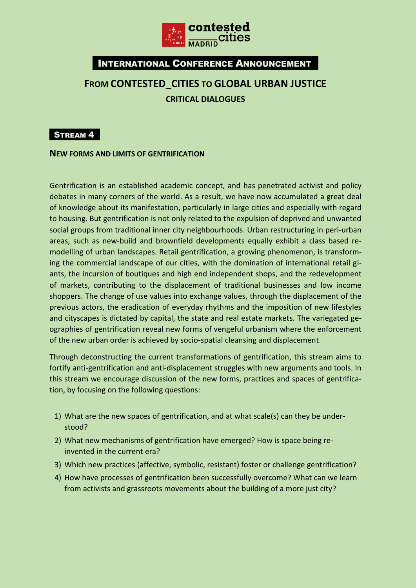

# **FROM CONTESTED\_CITIES TO GLOBAL URBAN JUSTICE CRITICAL DIALOGUES**

### **STREAM 4**

#### **NEW FORMS AND LIMITS OF GENTRIFICATION**

Gentrification is an established academic concept, and has penetrated activist and policy debates in many corners of the world. As a result, we have now accumulated a great deal of knowledge about its manifestation, particularly in large cities and especially with regard to housing. But gentrification is not only related to the expulsion of deprived and unwanted social groups from traditional inner city neighbourhoods. Urban restructuring in peri-urban areas, such as new-build and brownfield developments equally exhibit a class based remodelling of urban landscapes. Retail gentrification, a growing phenomenon, is transforming the commercial landscape of our cities, with the domination of international retail giants, the incursion of boutiques and high end independent shops, and the redevelopment of markets, contributing to the displacement of traditional businesses and low income shoppers. The change of use values into exchange values, through the displacement of the previous actors, the eradication of everyday rhythms and the imposition of new lifestyles and cityscapes is dictated by capital, the state and real estate markets. The variegated geographies of gentrification reveal new forms of vengeful urbanism where the enforcement of the new urban order is achieved by socio-spatial cleansing and displacement.

Through deconstructing the current transformations of gentrification, this stream aims to fortify anti-gentrification and anti-displacement struggles with new arguments and tools. In this stream we encourage discussion of the new forms, practices and spaces of gentrification, by focusing on the following questions:

- 1) What are the new spaces of gentrification, and at what scale(s) can they be understood?
- 2) What new mechanisms of gentrification have emerged? How is space being reinvented in the current era?
- 3) Which new practices (affective, symbolic, resistant) foster or challenge gentrification?
- 4) How have processes of gentrification been successfully overcome? What can we learn from activists and grassroots movements about the building of a more just city?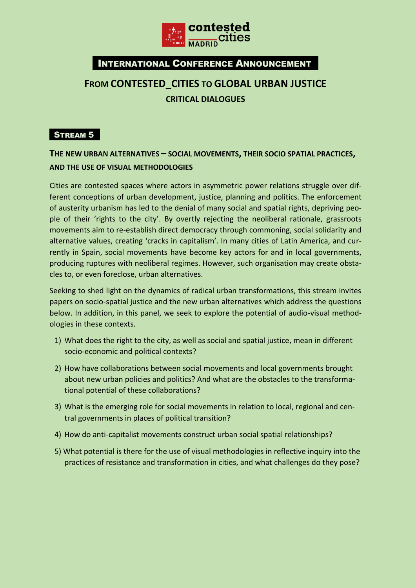

# **FROM CONTESTED\_CITIES TO GLOBAL URBAN JUSTICE CRITICAL DIALOGUES**

## **STREAM 5**

## **THE NEW URBAN ALTERNATIVES – SOCIAL MOVEMENTS, THEIR SOCIO SPATIAL PRACTICES, AND THE USE OF VISUAL METHODOLOGIES**

Cities are contested spaces where actors in asymmetric power relations struggle over different conceptions of urban development, justice, planning and politics. The enforcement of austerity urbanism has led to the denial of many social and spatial rights, depriving people of their 'rights to the city'. By overtly rejecting the neoliberal rationale, grassroots movements aim to re-establish direct democracy through commoning, social solidarity and alternative values, creating 'cracks in capitalism'. In many cities of Latin America, and currently in Spain, social movements have become key actors for and in local governments, producing ruptures with neoliberal regimes. However, such organisation may create obstacles to, or even foreclose, urban alternatives.

Seeking to shed light on the dynamics of radical urban transformations, this stream invites papers on socio-spatial justice and the new urban alternatives which address the questions below. In addition, in this panel, we seek to explore the potential of audio-visual methodologies in these contexts.

- 1) What does the right to the city, as well as social and spatial justice, mean in different socio-economic and political contexts?
- 2) How have collaborations between social movements and local governments brought about new urban policies and politics? And what are the obstacles to the transformational potential of these collaborations?
- 3) What is the emerging role for social movements in relation to local, regional and central governments in places of political transition?
- 4) How do anti-capitalist movements construct urban social spatial relationships?
- 5) What potential is there for the use of visual methodologies in reflective inquiry into the practices of resistance and transformation in cities, and what challenges do they pose?